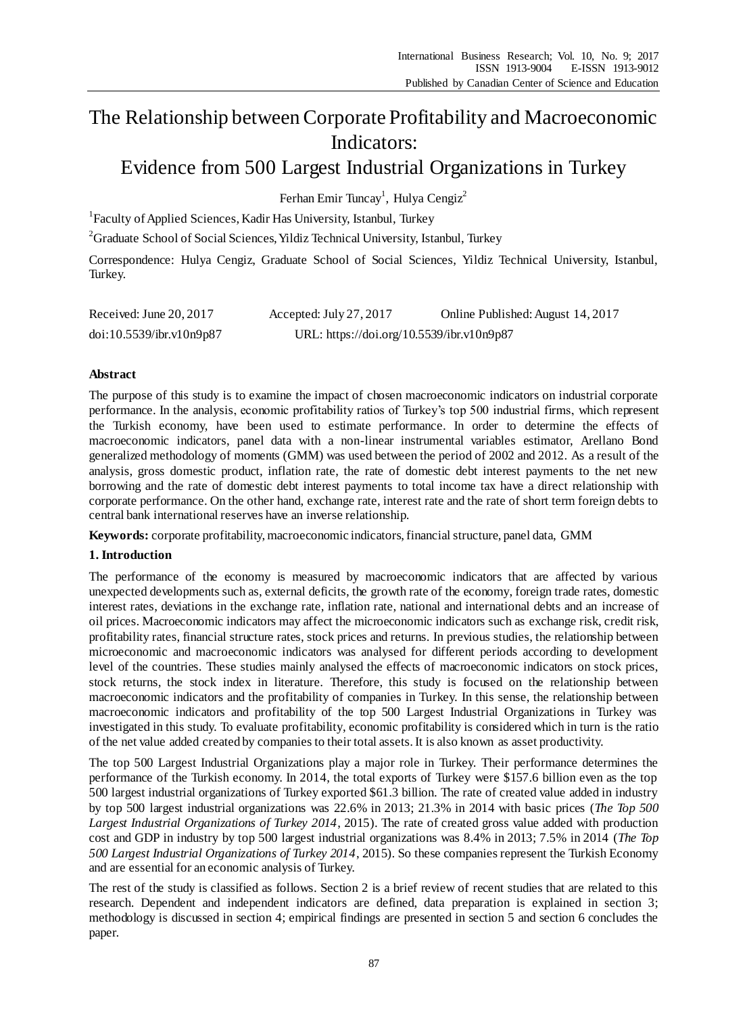# The Relationship between Corporate Profitability and Macroeconomic Indicators:

## Evidence from 500 Largest Industrial Organizations in Turkey

Ferhan Emir Tuncay<sup>1</sup>, Hulya Cengiz<sup>2</sup>

<sup>1</sup>Faculty of Applied Sciences, Kadir Has University, Istanbul, Turkey

<sup>2</sup>Graduate School of Social Sciences, Yildiz Technical University, Istanbul, Turkey

Correspondence: Hulya Cengiz, Graduate School of Social Sciences, Yildiz Technical University, Istanbul, Turkey.

| Received: June $20, 2017$ | Accepted: July 27, 2017                   | Online Published: August 14, 2017 |
|---------------------------|-------------------------------------------|-----------------------------------|
| doi:10.5539/ibr.v10n9p87  | URL: https://doi.org/10.5539/ibr.v10n9p87 |                                   |

#### **Abstract**

The purpose of this study is to examine the impact of chosen macroeconomic indicators on industrial corporate performance. In the analysis, economic profitability ratios of Turkey's top 500 industrial firms, which represent the Turkish economy, have been used to estimate performance. In order to determine the effects of macroeconomic indicators, panel data with a non-linear instrumental variables estimator, Arellano Bond generalized methodology of moments (GMM) was used between the period of 2002 and 2012. As a result of the analysis, gross domestic product, inflation rate, the rate of domestic debt interest payments to the net new borrowing and the rate of domestic debt interest payments to total income tax have a direct relationship with corporate performance. On the other hand, exchange rate, interest rate and the rate of short term foreign debts to central bank international reserves have an inverse relationship.

**Keywords:** corporate profitability, macroeconomic indicators, financial structure, panel data, GMM

#### **1. Introduction**

The performance of the economy is measured by macroeconomic indicators that are affected by various unexpected developments such as, external deficits, the growth rate of the economy, foreign trade rates, domestic interest rates, deviations in the exchange rate, inflation rate, national and international debts and an increase of oil prices. Macroeconomic indicators may affect the microeconomic indicators such as exchange risk, credit risk, profitability rates, financial structure rates, stock prices and returns. In previous studies, the relationship between microeconomic and macroeconomic indicators was analysed for different periods according to development level of the countries. These studies mainly analysed the effects of macroeconomic indicators on stock prices, stock returns, the stock index in literature. Therefore, this study is focused on the relationship between macroeconomic indicators and the profitability of companies in Turkey. In this sense, the relationship between macroeconomic indicators and profitability of the top 500 Largest Industrial Organizations in Turkey was investigated in this study. To evaluate profitability, economic profitability is considered which in turn is the ratio of the net value added created by companies to their total assets. It is also known as asset productivity.

The top 500 Largest Industrial Organizations play a major role in Turkey. Their performance determines the performance of the Turkish economy. In 2014, the total exports of Turkey were \$157.6 billion even as the top 500 largest industrial organizations of Turkey exported \$61.3 billion. The rate of created value added in industry by top 500 largest industrial organizations was 22.6% in 2013; 21.3% in 2014 with basic prices (*[The Top 500](#page-7-0)  [Largest Industrial Organizations of Turkey 2014](#page-7-0)*, 2015). The rate of created gross value added with production cost and GDP in industry by top 500 largest industrial organizations was 8.4% in 2013; 7.5% in 2014 (*[The Top](#page-7-0)  [500 Largest Industrial Organizations of Turkey 2014](#page-7-0)*, 2015). So these companies represent the Turkish Economy and are essential for an economic analysis of Turkey.

The rest of the study is classified as follows. Section 2 is a brief review of recent studies that are related to this research. Dependent and independent indicators are defined, data preparation is explained in section 3; methodology is discussed in section 4; empirical findings are presented in section 5 and section 6 concludes the paper.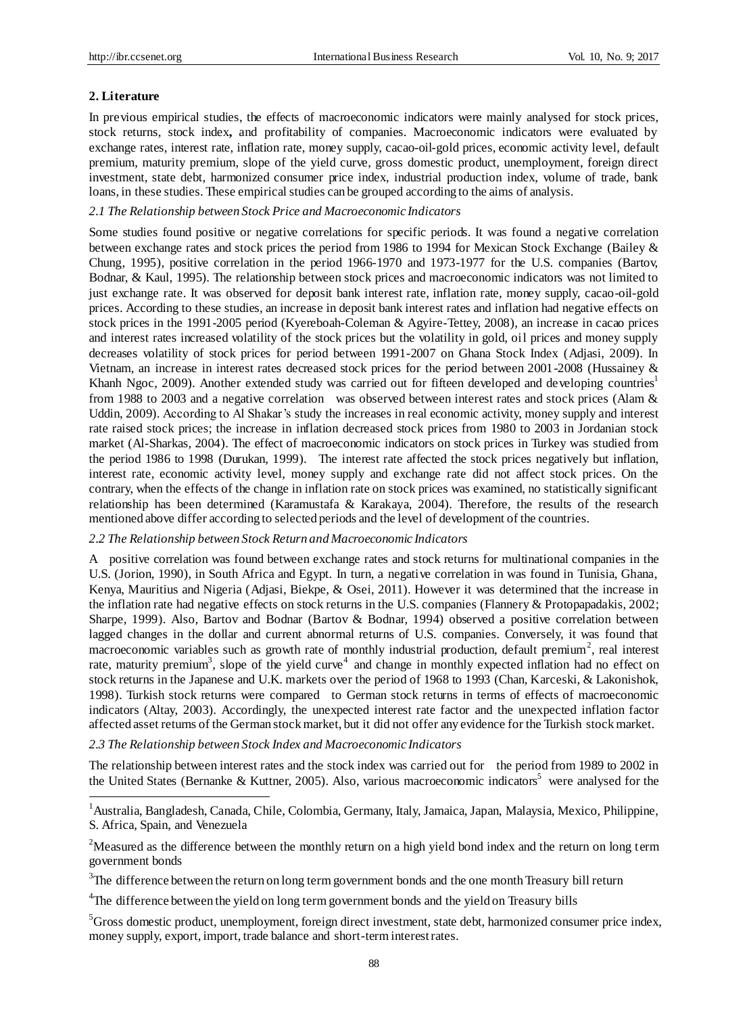#### **2. Literature**

<u>.</u>

In previous empirical studies, the effects of macroeconomic indicators were mainly analysed for stock prices, stock returns, stock index**,** and profitability of companies. Macroeconomic indicators were evaluated by exchange rates, interest rate, inflation rate, money supply, cacao-oil-gold prices, economic activity level, default premium, maturity premium, slope of the yield curve, gross domestic product, unemployment, foreign direct investment, state debt, harmonized consumer price index, industrial production index, volume of trade, bank loans, in these studies. These empirical studies can be grouped according to the aims of analysis.

#### *2.1 The Relationship between Stock Price and Macroeconomic Indicators*

Some studies found positive or negative correlations for specific periods. It was found a negative correlation between exchange rates and stock prices the period from 1986 to 1994 for Mexican Stock Exchange [\(Bailey &](#page-6-0)  [Chung, 1995\)](#page-6-0), positive correlation in the period 1966-1970 and 1973-1977 for the U.S. companies [\(Bartov,](#page-6-1)  [Bodnar, & Kaul,](#page-6-1) 1995). The relationship between stock prices and macroeconomic indicators was not limited to just exchange rate. It was observed for deposit bank interest rate, inflation rate, money supply, cacao-oil-gold prices. According to these studies, an increase in deposit bank interest rates and inflation had negative effects on stock prices in the 1991-2005 period [\(Kyereboah-Coleman & Agyire-Tettey, 2008\)](#page-7-1), an increase in cacao prices and interest rates increased volatility of the stock prices but the volatility in gold, oil prices and money supply decreases volatility of stock prices for period between 1991-2007 on Ghana Stock Index [\(Adjasi, 2009\)](#page-5-0). In Vietnam, an increase in interest rates decreased stock prices for the period between 2001-2008 [\(Hussainey &](#page-7-2)  [Khanh Ngoc, 2009\)](#page-7-2). Another extended study was carried out for fifteen developed and developing countries<sup>1</sup> from 1988 to 2003 and a negative correlation was observed between interest rates and stock prices [\(Alam &](#page-6-2)  [Uddin, 2009\)](#page-6-2). According to Al Shakar's study the increases in real economic activity, money supply and interest rate raised stock prices; the increase in inflation decreased stock prices from 1980 to 2003 in Jordanian stock market [\(Al-Sharkas, 2004\)](#page-6-3). The effect of macroeconomic indicators on stock prices in Turkey was studied from the period 1986 to 1998 [\(Durukan, 1999\)](#page-6-4). The interest rate affected the stock prices negatively but inflation, interest rate, economic activity level, money supply and exchange rate did not affect stock prices. On the contrary, when the effects of the change in inflation rate on stock prices was examined, no statistically significant relationship has been determined [\(Karamustafa & Karakaya, 2004\)](#page-7-3). Therefore, the results of the research mentioned above differ according to selected periods and the level of development of the countries.

#### *2.2 The Relationship between Stock Return and Macroeconomic Indicators*

A positive correlation was found between exchange rates and stock returns for multinational companies in the U.S. [\(Jorion, 1990\)](#page-7-4), in South Africa and Egypt. In turn, a negative correlation in was found in Tunisia, Ghana, Kenya, Mauritius and Nigeria [\(Adjasi, Biekpe, & Osei, 2011\)](#page-5-1). However it was determined that the increase in the inflation rate had negative effects on stock returns in the U.S. companies [\(Flannery & Protopapadakis, 2002;](#page-6-5) [Sharpe, 1999\)](#page-7-5). Also, Bartov and Bodnar [\(Bartov & Bodnar, 1994\)](#page-6-6) observed a positive correlation between lagged changes in the dollar and current abnormal returns of U.S. companies. Conversely, it was found that macroeconomic variables such as growth rate of monthly industrial production, default premium<sup>2</sup>, real interest rate, maturity premium<sup>3</sup>, slope of the yield curve<sup>4</sup> and change in monthly expected inflation had no effect on stock returns in the Japanese and U.K. markets over the period of 1968 to 1993 [\(Chan, Karceski, & Lakonishok,](#page-6-7)  [1998\)](#page-6-7). Turkish stock returns were compared to German stock returns in terms of effects of macroeconomic indicators [\(Altay, 2003\)](#page-6-8). Accordingly, the unexpected interest rate factor and the unexpected inflation factor affected asset returns of the German stock market, but it did not offer any evidence for the Turkish stock market.

#### *2.3 The Relationship between Stock Index and Macroeconomic Indicators*

The relationship between interest rates and the stock index was carried out for the period from 1989 to 2002 in the United States [\(Bernanke & Kuttner, 2005\)](#page-6-9). Also, various macroeconomic indicators<sup>5</sup> were analysed for the

<sup>&</sup>lt;sup>1</sup> Australia, Bangladesh, Canada, Chile, Colombia, Germany, Italy, Jamaica, Japan, Malaysia, Mexico, Philippine, S. Africa, Spain, and Venezuela

<sup>&</sup>lt;sup>2</sup>Measured as the difference between the monthly return on a high yield bond index and the return on long term government bonds

 $3$ The difference between the return on long term government bonds and the one month Treasury bill return

<sup>&</sup>lt;sup>4</sup>The difference between the yield on long term government bonds and the yield on Treasury bills

<sup>&</sup>lt;sup>5</sup>Gross domestic product, unemployment, foreign direct investment, state debt, harmonized consumer price index, money supply, export, import, trade balance and short-term interest rates.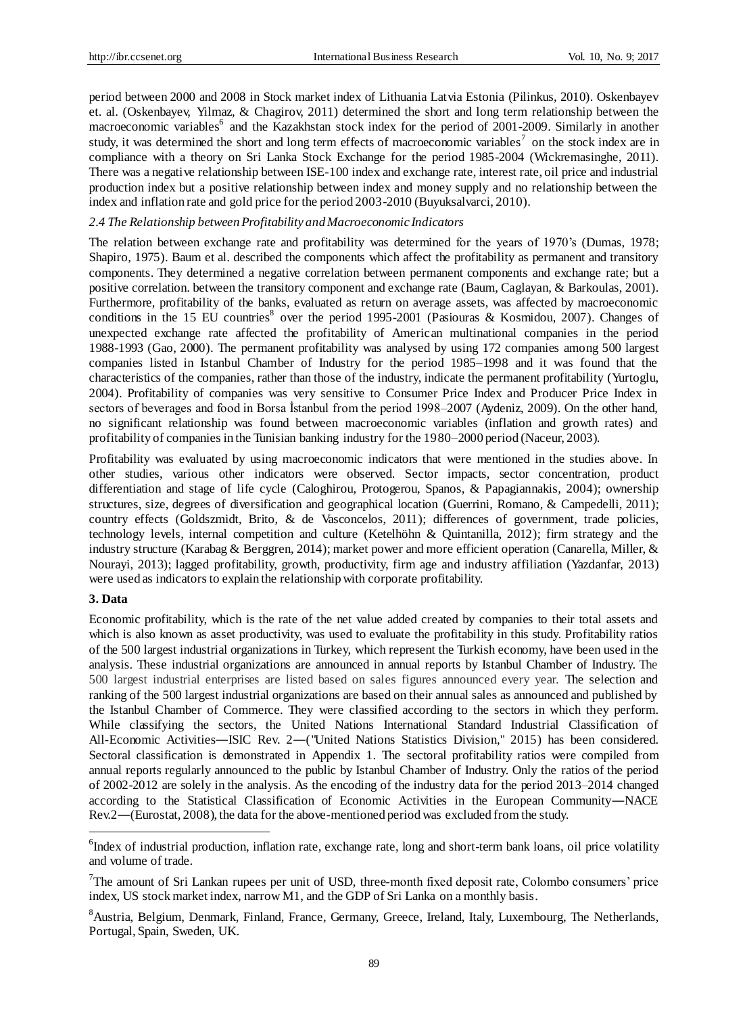period between 2000 and 2008 in Stock market index of Lithuania Latvia Estonia [\(Pilinkus, 2010\)](#page-7-6). Oskenbayev et. al. [\(Oskenbayev, Yilmaz, & Chagirov, 2011\)](#page-7-7) determined the short and long term relationship between the macroeconomic variables<sup>6</sup> and the Kazakhstan stock index for the period of 2001-2009. Similarly in another study, it was determined the short and long term effects of macroeconomic variables<sup>7</sup> on the stock index are in compliance with a theory on Sri Lanka Stock Exchange for the period 1985-2004 [\(Wickremasinghe, 2011\)](#page-7-8). There was a negative relationship between ISE-100 index and exchange rate, interest rate, oil price and industrial production index but a positive relationship between index and money supply and no relationship between the index and inflation rate and gold price for the period 2003-2010 [\(Buyuksalvarci, 2010\)](#page-6-10).

#### *2.4 The Relationship between Profitability and Macroeconomic Indicators*

The relation between exchange rate and profitability was determined for the years of 1970's [\(Dumas, 1978;](#page-6-11) [Shapiro, 1975\)](#page-7-9). Baum et al. described the components which affect the profitability as permanent and transitory components. They determined a negative correlation between permanent components and exchange rate; but a positive correlation. between the transitory component and exchange rate [\(Baum, Caglayan, & Barkoulas, 2001\)](#page-6-12). Furthermore, profitability of the banks, evaluated as return on average assets, was affected by macroeconomic conditions in the 15 EU countries<sup>8</sup> over the period 1995-2001 [\(Pasiouras & Kosmidou, 2007\)](#page-7-10). Changes of unexpected exchange rate affected the profitability of American multinational companies in the period 1988-1993 [\(Gao, 2000\)](#page-6-13). The permanent profitability was analysed by using 172 companies among 500 largest companies listed in Istanbul Chamber of Industry for the period 1985–1998 and it was found that the characteristics of the companies, rather than those of the industry, indicate the permanent profitability [\(Yurtoglu,](#page-7-11)  [2004\)](#page-7-11). Profitability of companies was very sensitive to Consumer Price Index and Producer Price Index in sectors of beverages and food in Borsa İstanbul from the period 1998–2007 [\(Aydeniz, 2009\)](#page-6-14). On the other hand, no significant relationship was found between macroeconomic variables (inflation and growth rates) and profitability of companies in the Tunisian banking industry for the 1980–2000 period [\(Naceur, 2003\)](#page-7-12).

Profitability was evaluated by using macroeconomic indicators that were mentioned in the studies above. In other studies, various other indicators were observed. Sector impacts, sector concentration, product differentiation and stage of life cycle [\(Caloghirou, Protogerou, Spanos, & Papagiannakis, 2004\)](#page-6-15); ownership structures, size, degrees of diversification and geographical location [\(Guerrini, Romano, & Campedelli, 2011\)](#page-7-13); country effects [\(Goldszmidt, Brito, & de Vasconcelos, 2011\)](#page-6-16); differences of government, trade policies, technology levels, internal competition and culture [\(Ketelhöhn & Quintanilla, 2012\)](#page-7-14); firm strategy and the industry structure [\(Karabag & Berggren, 2014\)](#page-7-15); market power and more efficient operation [\(Canarella, Miller, &](#page-6-17)  [Nourayi, 2013\)](#page-6-17); lagged profitability, growth, productivity, firm age and industry affiliation [\(Yazdanfar, 2013\)](#page-7-16) were used as indicators to explain the relationship with corporate profitability.

#### **3. Data**

1

Economic profitability, which is the rate of the net value added created by companies to their total assets and which is also known as asset productivity, was used to evaluate the profitability in this study. Profitability ratios of the 500 largest industrial organizations in Turkey, which represent the Turkish economy, have been used in the analysis. These industrial organizations are announced in annual reports by Istanbul Chamber of Industry. The 500 largest industrial enterprises are listed based on sales figures announced every year. The selection and ranking of the 500 largest industrial organizations are based on their annual sales as announced and published by the Istanbul Chamber of Commerce. They were classified according to the sectors in which they perform. While classifying the sectors, the United Nations International Standard Industrial Classification of All-Economic Activities―ISIC Rev. 2―[\("United Nations Statistics Division," 2015\)](#page-7-17) has been considered. Sectoral classification is demonstrated in Appendix 1. The sectoral profitability ratios were compiled from annual reports regularly announced to the public by Istanbul Chamber of Industry. Only the ratios of the period of 2002-2012 are solely in the analysis. As the encoding of the industry data for the period 2013–2014 changed according to the Statistical Classification of Economic Activities in the European Community―NACE Rev.2―[\(Eurostat, 2008\)](#page-6-18), the data for the above-mentioned period was excluded from the study.

<sup>&</sup>lt;sup>6</sup>Index of industrial production, inflation rate, exchange rate, long and short-term bank loans, oil price volatility and volume of trade.

<sup>&</sup>lt;sup>7</sup>The amount of Sri Lankan rupees per unit of USD, three-month fixed deposit rate, Colombo consumers' price index, US stock market index, narrow M1, and the GDP of Sri Lanka on a monthly basis.

<sup>&</sup>lt;sup>8</sup> Austria, Belgium, Denmark, Finland, France, Germany, Greece, Ireland, Italy, Luxembourg, The Netherlands, Portugal, Spain, Sweden, UK.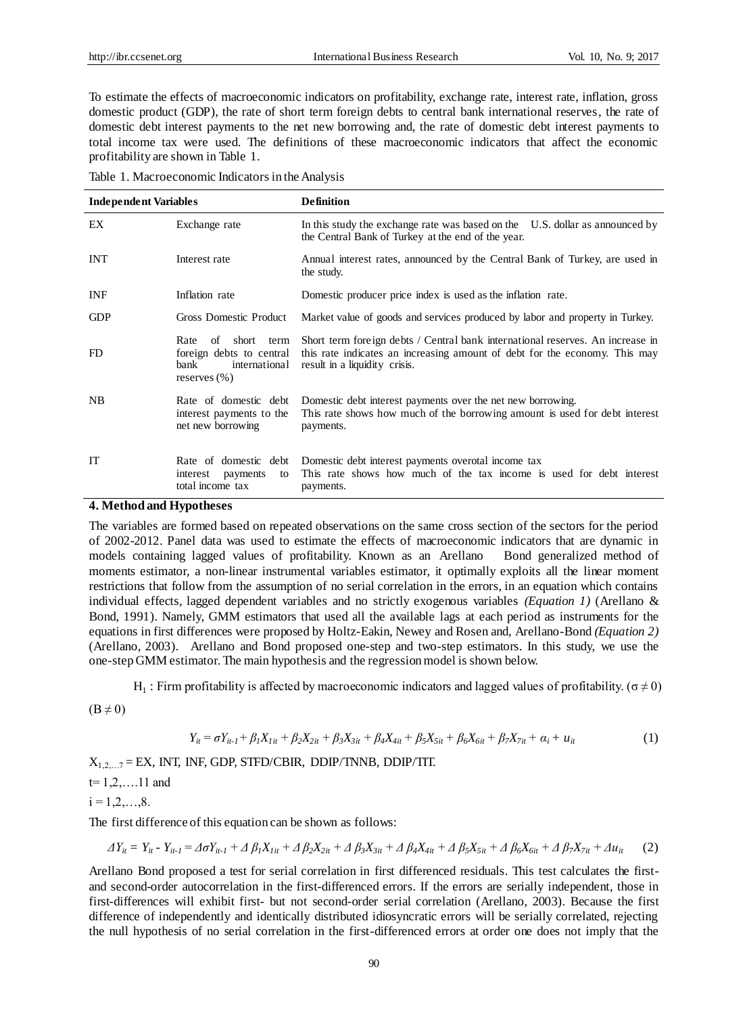To estimate the effects of macroeconomic indicators on profitability, exchange rate, interest rate, inflation, gross domestic product (GDP), the rate of short term foreign debts to central bank international reserves, the rate of domestic debt interest payments to the net new borrowing and, the rate of domestic debt interest payments to total income tax were used. The definitions of these macroeconomic indicators that affect the economic profitability are shown in Table 1.

Table 1. Macroeconomic Indicators in the Analysis

| <b>Independent Variables</b> |                                                                                                      | <b>Definition</b>                                                                                                                                                                             |  |  |
|------------------------------|------------------------------------------------------------------------------------------------------|-----------------------------------------------------------------------------------------------------------------------------------------------------------------------------------------------|--|--|
| EX                           | Exchange rate                                                                                        | In this study the exchange rate was based on the U.S. dollar as announced by<br>the Central Bank of Turkey at the end of the year.                                                            |  |  |
| <b>INT</b>                   | Interest rate                                                                                        | Annual interest rates, announced by the Central Bank of Turkey, are used in<br>the study.                                                                                                     |  |  |
| <b>INF</b>                   | Inflation rate                                                                                       | Domestic producer price index is used as the inflation rate.                                                                                                                                  |  |  |
| <b>GDP</b>                   | Gross Domestic Product                                                                               | Market value of goods and services produced by labor and property in Turkey.                                                                                                                  |  |  |
| FD.                          | short<br>Rate<br>of<br>term<br>foreign debts to central<br>international<br>bank<br>reserves $(\% )$ | Short term foreign debts / Central bank international reserves. An increase in<br>this rate indicates an increasing amount of debt for the economy. This may<br>result in a liquidity crisis. |  |  |
| NB                           | Rate of domestic debt<br>interest payments to the<br>net new borrowing                               | Domestic debt interest payments over the net new borrowing.<br>This rate shows how much of the borrowing amount is used for debt interest<br>payments.                                        |  |  |
| IT                           | Rate of domestic debt<br>interest<br>payments<br>to<br>total income tax                              | Domestic debt interest payments overotal income tax<br>This rate shows how much of the tax income is used for debt interest<br>payments.                                                      |  |  |

**4. Method and Hypotheses** 

The variables are formed based on repeated observations on the same cross section of the sectors for the period of 2002-2012. Panel data was used to estimate the effects of macroeconomic indicators that are dynamic in models containing lagged values of profitability. Known as an Arellano Bond generalized method of moments estimator, a non-linear instrumental variables estimator, it optimally exploits all the linear moment restrictions that follow from the assumption of no serial correlation in the errors, in an equation which contains individual effects, lagged dependent variables and no strictly exogenous variables *(Equation 1)* [\(Arellano &](#page-6-19)  [Bond, 1991\)](#page-6-19). Namely, GMM estimators that used all the available lags at each period as instruments for the equations in first differences were proposed by Holtz-Eakin, Newey and Rosen and, Arellano-Bond *(Equation 2)*  [\(Arellano, 2003\)](#page-6-20). Arellano and Bond proposed one-step and two-step estimators. In this study, we use the one-step GMM estimator. The main hypothesis and the regression model is shown below.

H<sub>1</sub>: Firm profitability is affected by macroeconomic indicators and lagged values of profitability. ( $\sigma \neq 0$ )

 $(B \neq 0)$ 

$$
Y_{it} = \sigma Y_{it-1} + \beta_1 X_{1it} + \beta_2 X_{2it} + \beta_3 X_{3it} + \beta_4 X_{4it} + \beta_5 X_{5it} + \beta_6 X_{6it} + \beta_7 X_{7it} + \alpha_i + u_{it}
$$
(1)

 $X_{1,2...7} = EX$ , INT, INF, GDP, STFD/CBIR, DDIP/TNNB, DDIP/TIT.

 $t= 1, 2, \ldots, 11$  and

 $i = 1, 2, \ldots, 8$ .

The first difference of this equation can be shown as follows:

$$
\Delta Y_{it} = Y_{it} - Y_{it-1} = \Delta \sigma Y_{it-1} + \Delta \beta_1 X_{1it} + \Delta \beta_2 X_{2it} + \Delta \beta_3 X_{3it} + \Delta \beta_4 X_{4it} + \Delta \beta_5 X_{5it} + \Delta \beta_6 X_{6it} + \Delta \beta_7 X_{7it} + \Delta u_{it}
$$
 (2)

Arellano Bond proposed a test for serial correlation in first differenced residuals. This test calculates the firstand second-order autocorrelation in the first-differenced errors. If the errors are serially independent, those in first-differences will exhibit first- but not second-order serial correlation [\(Arellano, 2003\)](#page-6-20). Because the first difference of independently and identically distributed idiosyncratic errors will be serially correlated, rejecting the null hypothesis of no serial correlation in the first-differenced errors at order one does not imply that the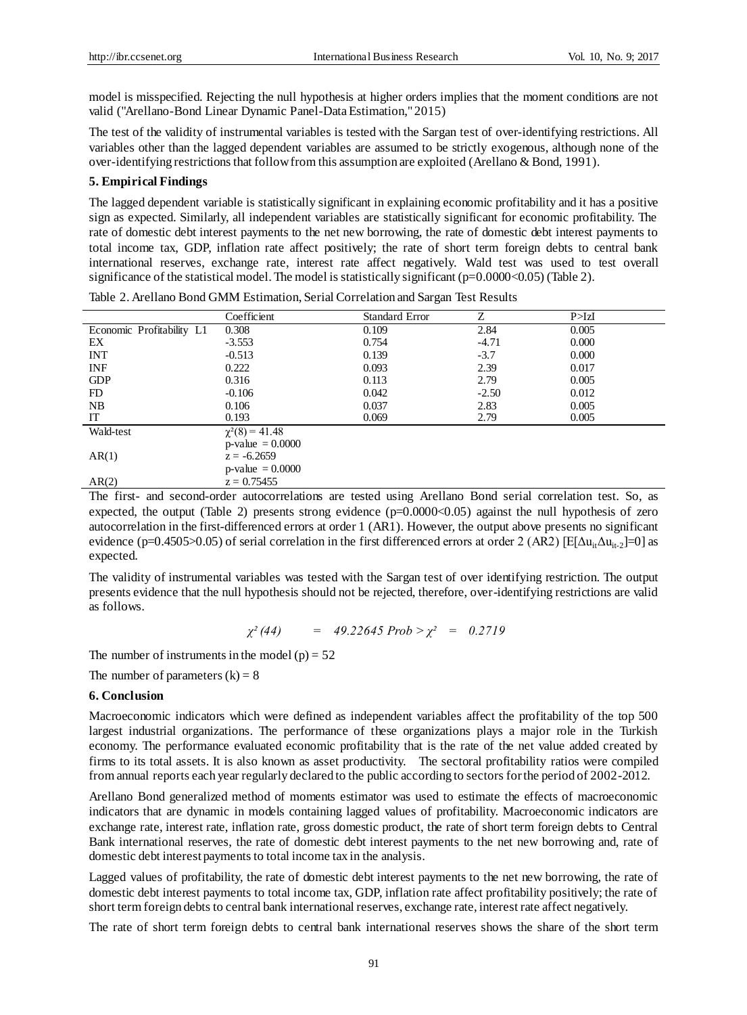model is misspecified. Rejecting the null hypothesis at higher orders implies that the moment conditions are not valid [\("Arellano-Bond Linear Dynamic Panel-Data Estimation," 2015\)](#page-6-21)

The test of the validity of instrumental variables is tested with the Sargan test of over-identifying restrictions. All variables other than the lagged dependent variables are assumed to be strictly exogenous, although none of the over-identifying restrictions that follow from this assumption are exploited [\(Arellano & Bond, 1991\)](#page-6-19).

#### **5. Empirical Findings**

The lagged dependent variable is statistically significant in explaining economic profitability and it has a positive sign as expected. Similarly, all independent variables are statistically significant for economic profitability. The rate of domestic debt interest payments to the net new borrowing, the rate of domestic debt interest payments to total income tax, GDP, inflation rate affect positively; the rate of short term foreign debts to central bank international reserves, exchange rate, interest rate affect negatively. Wald test was used to test overall significance of the statistical model. The model is statistically significant ( $p=0.0000<0.05$ ) (Table 2).

|                           | Coefficient         |                       | Z       | P > IzI |
|---------------------------|---------------------|-----------------------|---------|---------|
|                           |                     | <b>Standard Error</b> |         |         |
| Economic Profitability L1 | 0.308               | 0.109                 | 2.84    | 0.005   |
| EX                        | $-3.553$            | 0.754                 | $-4.71$ | 0.000   |
| <b>INT</b>                | $-0.513$            | 0.139                 | $-3.7$  | 0.000   |
| <b>INF</b>                | 0.222               | 0.093                 | 2.39    | 0.017   |
| <b>GDP</b>                | 0.316               | 0.113                 | 2.79    | 0.005   |
| FD.                       | $-0.106$            | 0.042                 | $-2.50$ | 0.012   |
| NB                        | 0.106               | 0.037                 | 2.83    | 0.005   |
| IT                        | 0.193               | 0.069                 | 2.79    | 0.005   |
| Wald-test                 | $\chi^2(8) = 41.48$ |                       |         |         |
|                           | $p$ -value = 0.0000 |                       |         |         |
| AR(1)                     | $z = -6.2659$       |                       |         |         |
|                           | $p$ -value = 0.0000 |                       |         |         |
| AR(2)                     | $z = 0.75455$       |                       |         |         |

Table 2. Arellano Bond GMM Estimation, Serial Correlation and Sargan Test Results

The first- and second-order autocorrelations are tested using Arellano Bond serial correlation test. So, as expected, the output (Table 2) presents strong evidence  $(p=0.0000<0.05)$  against the null hypothesis of zero autocorrelation in the first-differenced errors at order 1 (AR1). However, the output above presents no significant evidence (p=0.4505>0.05) of serial correlation in the first differenced errors at order 2 (AR2) [E[ $\Delta u_{it}\Delta u_{it-2}$ ]=0] as expected.

The validity of instrumental variables was tested with the Sargan test of over identifying restriction. The output presents evidence that the null hypothesis should not be rejected, therefore, over-identifying restrictions are valid as follows.

$$
\chi^2(44) = 49.22645 \; Prob > \chi^2 = 0.2719
$$

The number of instruments in the model  $(p) = 52$ 

The number of parameters  $(k) = 8$ 

#### **6. Conclusion**

Macroeconomic indicators which were defined as independent variables affect the profitability of the top 500 largest industrial organizations. The performance of these organizations plays a major role in the Turkish economy. The performance evaluated economic profitability that is the rate of the net value added created by firms to its total assets. It is also known as asset productivity. The sectoral profitability ratios were compiled from annual reports each year regularly declared to the public according to sectors for the period of 2002-2012.

Arellano Bond generalized method of moments estimator was used to estimate the effects of macroeconomic indicators that are dynamic in models containing lagged values of profitability. Macroeconomic indicators are exchange rate, interest rate, inflation rate, gross domestic product, the rate of short term foreign debts to Central Bank international reserves, the rate of domestic debt interest payments to the net new borrowing and, rate of domestic debt interest payments to total income tax in the analysis.

Lagged values of profitability, the rate of domestic debt interest payments to the net new borrowing, the rate of domestic debt interest payments to total income tax, GDP, inflation rate affect profitability positively; the rate of short term foreign debts to central bank international reserves, exchange rate, interest rate affect negatively.

The rate of short term foreign debts to central bank international reserves shows the share of the short term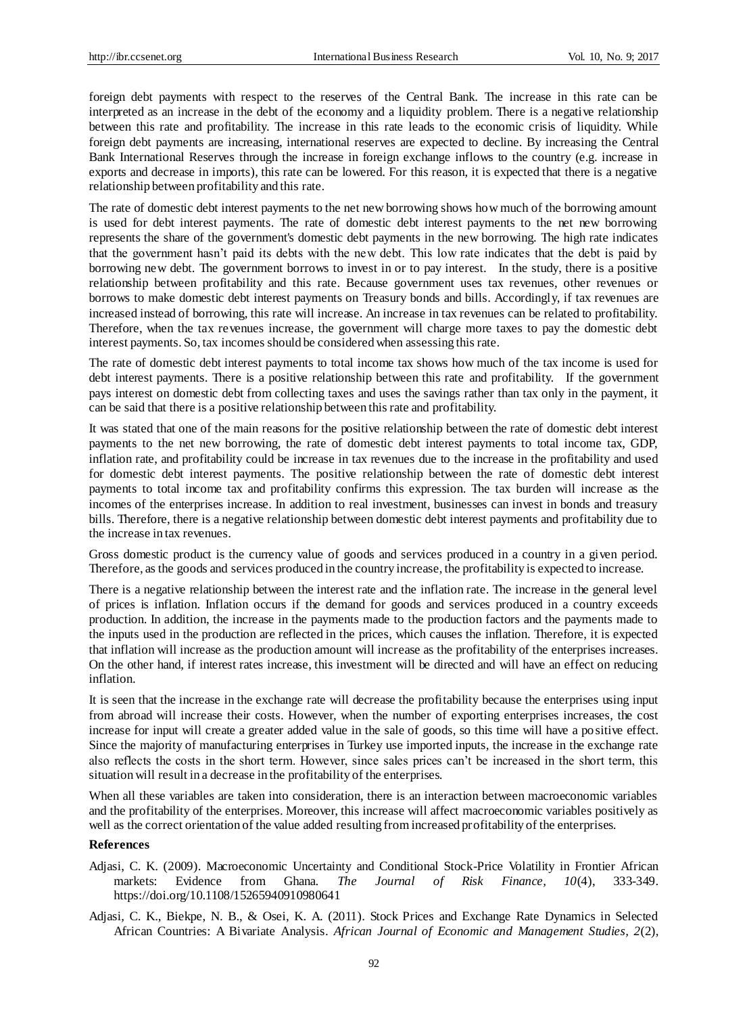foreign debt payments with respect to the reserves of the Central Bank. The increase in this rate can be interpreted as an increase in the debt of the economy and a liquidity problem. There is a negative relationship between this rate and profitability. The increase in this rate leads to the economic crisis of liquidity. While foreign debt payments are increasing, international reserves are expected to decline. By increasing the Central Bank International Reserves through the increase in foreign exchange inflows to the country (e.g. increase in exports and decrease in imports), this rate can be lowered. For this reason, it is expected that there is a negative relationship between profitability and this rate.

The rate of domestic debt interest payments to the net new borrowing shows how much of the borrowing amount is used for debt interest payments. The rate of domestic debt interest payments to the net new borrowing represents the share of the government's domestic debt payments in the new borrowing. The high rate indicates that the government hasn't paid its debts with the new debt. This low rate indicates that the debt is paid by borrowing new debt. The government borrows to invest in or to pay interest. In the study, there is a positive relationship between profitability and this rate. Because government uses tax revenues, other revenues or borrows to make domestic debt interest payments on Treasury bonds and bills. Accordingly, if tax revenues are increased instead of borrowing, this rate will increase. An increase in tax revenues can be related to profitability. Therefore, when the tax revenues increase, the government will charge more taxes to pay the domestic debt interest payments. So, tax incomes should be considered when assessing this rate.

The rate of domestic debt interest payments to total income tax shows how much of the tax income is used for debt interest payments. There is a positive relationship between this rate and profitability. If the government pays interest on domestic debt from collecting taxes and uses the savings rather than tax only in the payment, it can be said that there is a positive relationship between this rate and profitability.

It was stated that one of the main reasons for the positive relationship between the rate of domestic debt interest payments to the net new borrowing, the rate of domestic debt interest payments to total income tax, GDP, inflation rate, and profitability could be increase in tax revenues due to the increase in the profitability and used for domestic debt interest payments. The positive relationship between the rate of domestic debt interest payments to total income tax and profitability confirms this expression. The tax burden will increase as the incomes of the enterprises increase. In addition to real investment, businesses can invest in bonds and treasury bills. Therefore, there is a negative relationship between domestic debt interest payments and profitability due to the increase in tax revenues.

Gross domestic product is the currency value of goods and services produced in a country in a given period. Therefore, as the goods and services produced in the country increase, the profitability is expected to increase.

There is a negative relationship between the interest rate and the inflation rate. The increase in the general level of prices is inflation. Inflation occurs if the demand for goods and services produced in a country exceeds production. In addition, the increase in the payments made to the production factors and the payments made to the inputs used in the production are reflected in the prices, which causes the inflation. Therefore, it is expected that inflation will increase as the production amount will increase as the profitability of the enterprises increases. On the other hand, if interest rates increase, this investment will be directed and will have an effect on reducing inflation.

It is seen that the increase in the exchange rate will decrease the profitability because the enterprises using input from abroad will increase their costs. However, when the number of exporting enterprises increases, the cost increase for input will create a greater added value in the sale of goods, so this time will have a positive effect. Since the majority of manufacturing enterprises in Turkey use imported inputs, the increase in the exchange rate also reflects the costs in the short term. However, since sales prices can't be increased in the short term, this situation will result in a decrease in the profitability of the enterprises.

When all these variables are taken into consideration, there is an interaction between macroeconomic variables and the profitability of the enterprises. Moreover, this increase will affect macroeconomic variables positively as well as the correct orientation of the value added resulting from increased profitability of the enterprises.

#### **References**

- <span id="page-5-0"></span>Adjasi, C. K. (2009). Macroeconomic Uncertainty and Conditional Stock-Price Volatility in Frontier African markets: Evidence from Ghana. *The Journal of Risk Finance, 10*(4), 333-349. https://doi.org/10.1108/15265940910980641
- <span id="page-5-1"></span>Adjasi, C. K., Biekpe, N. B., & Osei, K. A. (2011). Stock Prices and Exchange Rate Dynamics in Selected African Countries: A Bivariate Analysis. *African Journal of Economic and Management Studies, 2*(2),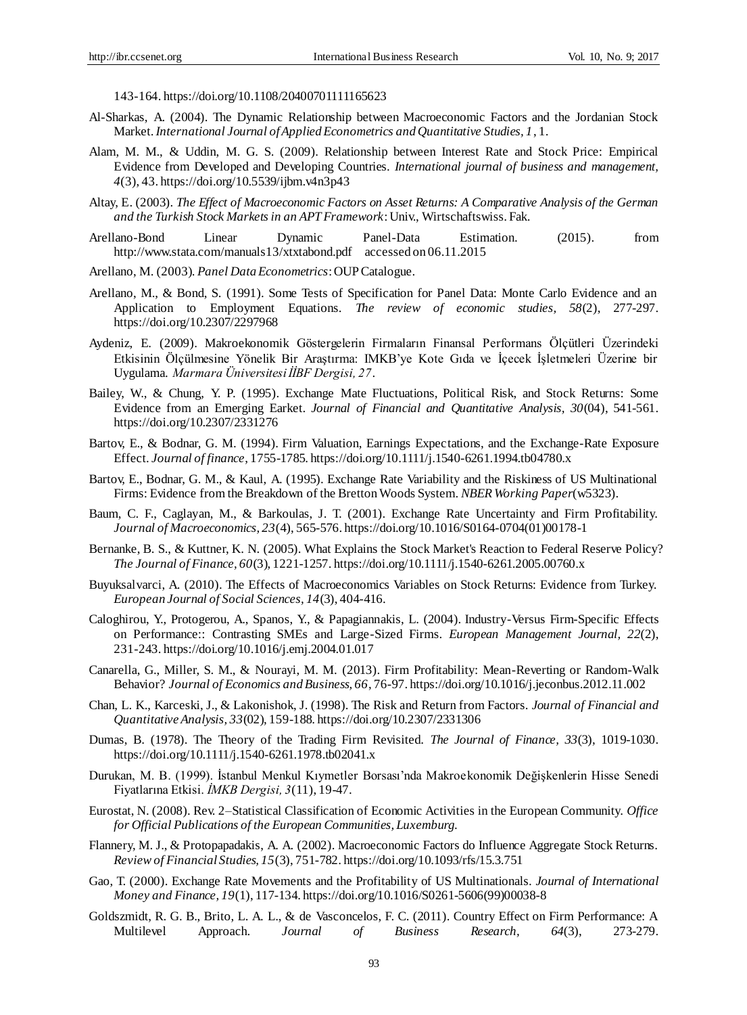143-164. https://doi.org/10.1108/20400701111165623

- <span id="page-6-3"></span>Al-Sharkas, A. (2004). The Dynamic Relationship between Macroeconomic Factors and the Jordanian Stock Market. *International Journal of Applied Econometrics and Quantitative Studies, 1*, 1.
- <span id="page-6-2"></span>Alam, M. M., & Uddin, M. G. S. (2009). Relationship between Interest Rate and Stock Price: Empirical Evidence from Developed and Developing Countries. *International journal of business and management, 4*(3), 43. https://doi.org/10.5539/ijbm.v4n3p43
- <span id="page-6-8"></span>Altay, E. (2003). *The Effect of Macroeconomic Factors on Asset Returns: A Comparative Analysis of the German and the Turkish Stock Markets in an APT Framework*: Univ., Wirtschaftswiss. Fak.
- <span id="page-6-21"></span>Arellano-Bond Linear Dynamic Panel-Data Estimation. (2015). from <http://www.stata.com/manuals13/xtxtabond.pdf>accessed on 06.11.2015
- <span id="page-6-20"></span>Arellano, M. (2003). *Panel Data Econometrics*: OUP Catalogue.
- <span id="page-6-19"></span>Arellano, M., & Bond, S. (1991). Some Tests of Specification for Panel Data: Monte Carlo Evidence and an Application to Employment Equations. *The review of economic studies, 58*(2), 277-297. https://doi.org/10.2307/2297968
- <span id="page-6-14"></span>Aydeniz, E. (2009). Makroekonomik Göstergelerin Firmaların Finansal Performans Ölçütleri Üzerindeki Etkisinin Ölçülmesine Yönelik Bir Araştırma: IMKB'ye Kote Gıda ve İçecek İşletmeleri Üzerine bir Uygulama. *Marmara Üniversitesi İİBF Dergisi, 27*.
- <span id="page-6-0"></span>Bailey, W., & Chung, Y. P. (1995). Exchange Mate Fluctuations, Political Risk, and Stock Returns: Some Evidence from an Emerging Earket. *Journal of Financial and Quantitative Analysis, 30*(04), 541-561. https://doi.org/10.2307/2331276
- <span id="page-6-6"></span>Bartov, E., & Bodnar, G. M. (1994). Firm Valuation, Earnings Expectations, and the Exchange-Rate Exposure Effect. *Journal of finance*, 1755-1785. https://doi.org/10.1111/j.1540-6261.1994.tb04780.x
- <span id="page-6-1"></span>Bartov, E., Bodnar, G. M., & Kaul, A. (1995). Exchange Rate Variability and the Riskiness of US Multinational Firms: Evidence from the Breakdown of the Bretton Woods System. *NBER Working Paper*(w5323).
- <span id="page-6-12"></span>Baum, C. F., Caglayan, M., & Barkoulas, J. T. (2001). Exchange Rate Uncertainty and Firm Profitability. *Journal of Macroeconomics, 23*(4), 565-576. https://doi.org/10.1016/S0164-0704(01)00178-1
- <span id="page-6-9"></span>Bernanke, B. S., & Kuttner, K. N. (2005). What Explains the Stock Market's Reaction to Federal Reserve Policy? *The Journal of Finance, 60*(3), 1221-1257. https://doi.org/10.1111/j.1540-6261.2005.00760.x
- <span id="page-6-10"></span>Buyuksalvarci, A. (2010). The Effects of Macroeconomics Variables on Stock Returns: Evidence from Turkey. *European Journal of Social Sciences, 14*(3), 404-416.
- <span id="page-6-15"></span>Caloghirou, Y., Protogerou, A., Spanos, Y., & Papagiannakis, L. (2004). Industry-Versus Firm-Specific Effects on Performance:: Contrasting SMEs and Large-Sized Firms. *European Management Journal, 22*(2), 231-243. https://doi.org/10.1016/j.emj.2004.01.017
- <span id="page-6-17"></span>Canarella, G., Miller, S. M., & Nourayi, M. M. (2013). Firm Profitability: Mean-Reverting or Random-Walk Behavior? *Journal of Economics and Business, 66*, 76-97. https://doi.org/10.1016/j.jeconbus.2012.11.002
- <span id="page-6-7"></span>Chan, L. K., Karceski, J., & Lakonishok, J. (1998). The Risk and Return from Factors. *Journal of Financial and Quantitative Analysis, 33*(02), 159-188. https://doi.org/10.2307/2331306
- <span id="page-6-11"></span>Dumas, B. (1978). The Theory of the Trading Firm Revisited. *The Journal of Finance, 33*(3), 1019-1030. https://doi.org/10.1111/j.1540-6261.1978.tb02041.x
- <span id="page-6-4"></span>Durukan, M. B. (1999). İstanbul Menkul Kıymetler Borsası'nda Makroekonomik Değişkenlerin Hisse Senedi Fiyatlarına Etkisi. *İMKB Dergisi, 3*(11), 19-47.
- <span id="page-6-18"></span>Eurostat, N. (2008). Rev. 2–Statistical Classification of Economic Activities in the European Community. *Office for Official Publications of the European Communities, Luxemburg*.
- <span id="page-6-5"></span>Flannery, M. J., & Protopapadakis, A. A. (2002). Macroeconomic Factors do Influence Aggregate Stock Returns. *Review of Financial Studies, 15*(3), 751-782. https://doi.org/10.1093/rfs/15.3.751
- <span id="page-6-13"></span>Gao, T. (2000). Exchange Rate Movements and the Profitability of US Multinationals. *Journal of International Money and Finance, 19*(1), 117-134. https://doi.org/10.1016/S0261-5606(99)00038-8
- <span id="page-6-16"></span>Goldszmidt, R. G. B., Brito, L. A. L., & de Vasconcelos, F. C. (2011). Country Effect on Firm Performance: A Multilevel Approach. *Journal of Business Research, 64*(3), 273-279.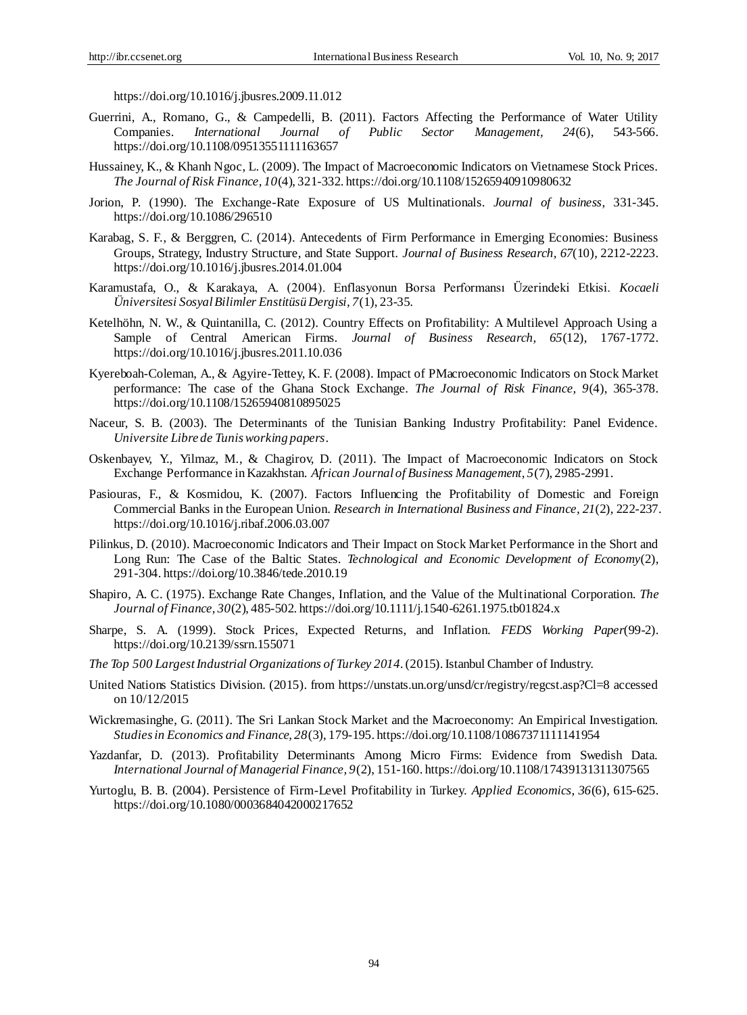https://doi.org/10.1016/j.jbusres.2009.11.012

- <span id="page-7-13"></span>Guerrini, A., Romano, G., & Campedelli, B. (2011). Factors Affecting the Performance of Water Utility Companies. *International Journal of Public Sector Management, 24*(6), 543-566. https://doi.org/10.1108/09513551111163657
- <span id="page-7-2"></span>Hussainey, K., & Khanh Ngoc, L. (2009). The Impact of Macroeconomic Indicators on Vietnamese Stock Prices. *The Journal of Risk Finance, 10*(4), 321-332. https://doi.org/10.1108/15265940910980632
- <span id="page-7-4"></span>Jorion, P. (1990). The Exchange-Rate Exposure of US Multinationals. *Journal of business*, 331-345. https://doi.org/10.1086/296510
- <span id="page-7-15"></span>Karabag, S. F., & Berggren, C. (2014). Antecedents of Firm Performance in Emerging Economies: Business Groups, Strategy, Industry Structure, and State Support. *Journal of Business Research, 67*(10), 2212-2223. https://doi.org/10.1016/j.jbusres.2014.01.004
- <span id="page-7-3"></span>Karamustafa, O., & Karakaya, A. (2004). Enflasyonun Borsa Performansı Üzerindeki Etkisi. *Kocaeli Üniversitesi Sosyal Bilimler Enstitüsü Dergisi, 7*(1), 23-35.
- <span id="page-7-14"></span>Ketelhöhn, N. W., & Quintanilla, C. (2012). Country Effects on Profitability: A Multilevel Approach Using a Sample of Central American Firms. *Journal of Business Research, 65*(12), 1767-1772. https://doi.org/10.1016/j.jbusres.2011.10.036
- <span id="page-7-1"></span>Kyereboah-Coleman, A., & Agyire-Tettey, K. F. (2008). Impact of PMacroeconomic Indicators on Stock Market performance: The case of the Ghana Stock Exchange. *The Journal of Risk Finance, 9*(4), 365-378. https://doi.org/10.1108/15265940810895025
- <span id="page-7-12"></span>Naceur, S. B. (2003). The Determinants of the Tunisian Banking Industry Profitability: Panel Evidence. *Universite Libre de Tunis working papers*.
- <span id="page-7-7"></span>Oskenbayev, Y., Yilmaz, M., & Chagirov, D. (2011). The Impact of Macroeconomic Indicators on Stock Exchange Performance in Kazakhstan. *African Journal of Business Management, 5*(7), 2985-2991.
- <span id="page-7-10"></span>Pasiouras, F., & Kosmidou, K. (2007). Factors Influencing the Profitability of Domestic and Foreign Commercial Banks in the European Union. *Research in International Business and Finance, 21*(2), 222-237. https://doi.org/10.1016/j.ribaf.2006.03.007
- <span id="page-7-6"></span>Pilinkus, D. (2010). Macroeconomic Indicators and Their Impact on Stock Market Performance in the Short and Long Run: The Case of the Baltic States. *Technological and Economic Development of Economy*(2), 291-304. https://doi.org/10.3846/tede.2010.19
- <span id="page-7-9"></span>Shapiro, A. C. (1975). Exchange Rate Changes, Inflation, and the Value of the Multinational Corporation. *The Journal of Finance, 30*(2), 485-502. https://doi.org/10.1111/j.1540-6261.1975.tb01824.x
- <span id="page-7-5"></span>Sharpe, S. A. (1999). Stock Prices, Expected Returns, and Inflation. *FEDS Working Paper*(99-2). https://doi.org/10.2139/ssrn.155071
- <span id="page-7-0"></span>*The Top 500 Largest Industrial Organizations of Turkey 2014*. (2015). Istanbul Chamber of Industry.
- <span id="page-7-17"></span>United Nations Statistics Division. (2015). from https://unstats.un.org/unsd/cr/registry/regcst.asp?Cl=8 accessed on 10/12/2015
- <span id="page-7-8"></span>Wickremasinghe, G. (2011). The Sri Lankan Stock Market and the Macroeconomy: An Empirical Investigation. *Studies in Economics and Finance, 28*(3), 179-195. https://doi.org/10.1108/10867371111141954
- <span id="page-7-16"></span>Yazdanfar, D. (2013). Profitability Determinants Among Micro Firms: Evidence from Swedish Data. *International Journal of Managerial Finance, 9*(2), 151-160. https://doi.org/10.1108/17439131311307565
- <span id="page-7-11"></span>Yurtoglu, B. B. (2004). Persistence of Firm-Level Profitability in Turkey. *Applied Economics, 36*(6), 615-625. https://doi.org/10.1080/0003684042000217652